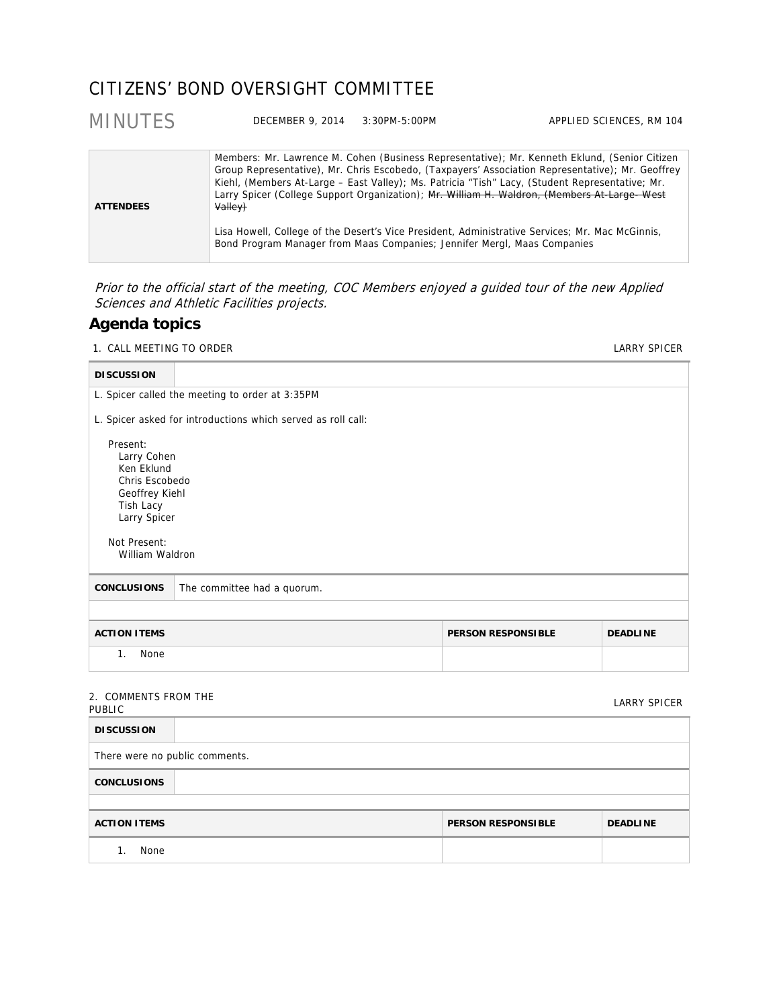## CITIZENS' BOND OVERSIGHT COMMITTEE

| <b>MINUTES</b>   | DECEMBER 9, 2014                                                                    | $3:30PM - 5:00PM$ | APPLIED SCIENCES, RM 104                                                                                                                                                                                                                                                                                                                                                                                                                                                                                |
|------------------|-------------------------------------------------------------------------------------|-------------------|---------------------------------------------------------------------------------------------------------------------------------------------------------------------------------------------------------------------------------------------------------------------------------------------------------------------------------------------------------------------------------------------------------------------------------------------------------------------------------------------------------|
| <b>ATTENDEES</b> | Valley)<br>Bond Program Manager from Maas Companies; Jennifer Mergl, Maas Companies |                   | Members: Mr. Lawrence M. Cohen (Business Representative); Mr. Kenneth Eklund, (Senior Citizen<br>Group Representative), Mr. Chris Escobedo, (Taxpayers' Association Representative); Mr. Geoffrey<br>Kiehl, (Members At-Large - East Valley); Ms. Patricia "Tish" Lacy, (Student Representative; Mr.<br>Larry Spicer (College Support Organization); Mr. William H. Waldron, (Members At-Large- West<br>Lisa Howell, College of the Desert's Vice President, Administrative Services; Mr. Mac McGinnis, |

Prior to the official start of the meeting, COC Members enjoyed a guided tour of the new Applied Sciences and Athletic Facilities projects.

### **Agenda topics**

1. CALL MEETING TO ORDER **LARRY SPICER** 

| <b>DISCUSSION</b>                                                                                                                         |                                                              |                           |                 |
|-------------------------------------------------------------------------------------------------------------------------------------------|--------------------------------------------------------------|---------------------------|-----------------|
|                                                                                                                                           | L. Spicer called the meeting to order at 3:35PM              |                           |                 |
|                                                                                                                                           |                                                              |                           |                 |
|                                                                                                                                           | L. Spicer asked for introductions which served as roll call: |                           |                 |
| Present:<br>Larry Cohen<br>Ken Eklund<br>Chris Escobedo<br>Geoffrey Kiehl<br>Tish Lacy<br>Larry Spicer<br>Not Present:<br>William Waldron |                                                              |                           |                 |
| <b>CONCLUSIONS</b>                                                                                                                        | The committee had a quorum.                                  |                           |                 |
|                                                                                                                                           |                                                              |                           |                 |
| <b>ACTION ITEMS</b>                                                                                                                       |                                                              | <b>PERSON RESPONSIBLE</b> | <b>DEADLINE</b> |
| None<br>1.                                                                                                                                |                                                              |                           |                 |
| 2. COMMENTS FROM THE<br><b>PUBLIC</b>                                                                                                     |                                                              |                           | LARRY SPICER    |

| 2. CONTRILIVED FROM THE<br><b>PUBLIC</b> |                           | LARRY SPICER    |
|------------------------------------------|---------------------------|-----------------|
| <b>DISCUSSION</b>                        |                           |                 |
| There were no public comments.           |                           |                 |
| <b>CONCLUSIONS</b>                       |                           |                 |
|                                          |                           |                 |
| <b>ACTION ITEMS</b>                      | <b>PERSON RESPONSIBLE</b> | <b>DEADLINE</b> |
| None                                     |                           |                 |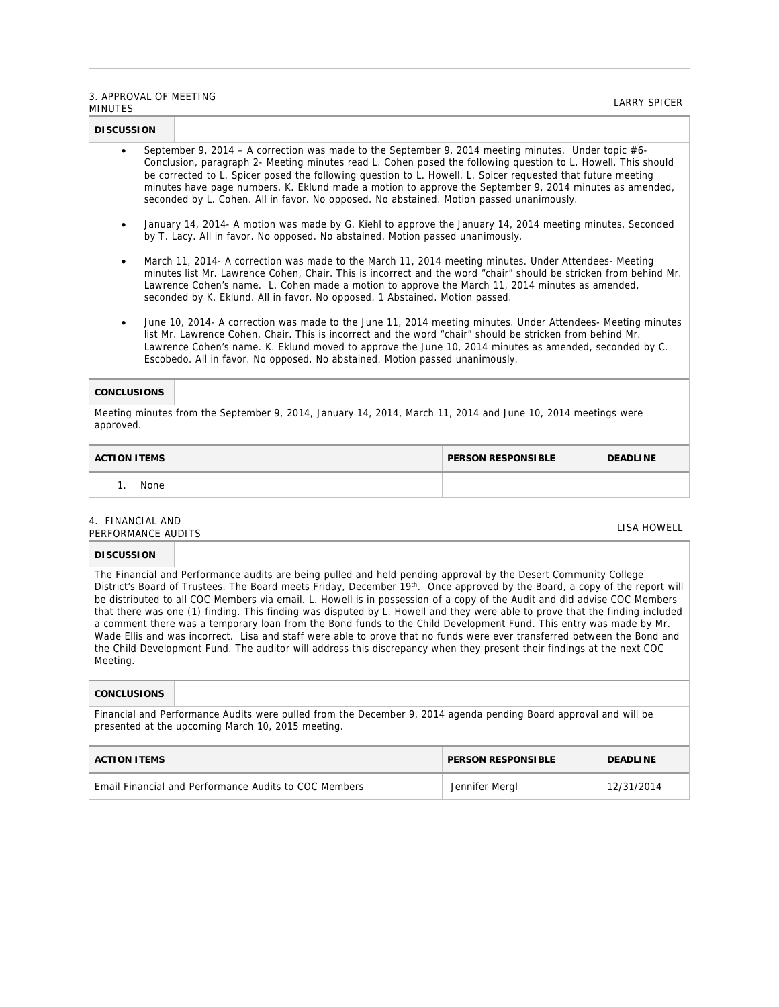### 3. APPROVAL OF MEETING SE AT TROVAL OF MELTING<br>MINUTES

| <b>DISCUSSION</b>                                                                                                                                                                                                                                                                                                                                                                                                                                                                                                                                        |                    |                 |  |  |
|----------------------------------------------------------------------------------------------------------------------------------------------------------------------------------------------------------------------------------------------------------------------------------------------------------------------------------------------------------------------------------------------------------------------------------------------------------------------------------------------------------------------------------------------------------|--------------------|-----------------|--|--|
| September 9, 2014 – A correction was made to the September 9, 2014 meeting minutes. Under topic #6-<br>$\bullet$<br>Conclusion, paragraph 2- Meeting minutes read L. Cohen posed the following question to L. Howell. This should<br>be corrected to L. Spicer posed the following question to L. Howell. L. Spicer requested that future meeting<br>minutes have page numbers. K. Eklund made a motion to approve the September 9, 2014 minutes as amended,<br>seconded by L. Cohen. All in favor. No opposed. No abstained. Motion passed unanimously. |                    |                 |  |  |
| January 14, 2014- A motion was made by G. Kiehl to approve the January 14, 2014 meeting minutes, Seconded<br>٠<br>by T. Lacy. All in favor. No opposed. No abstained. Motion passed unanimously.                                                                                                                                                                                                                                                                                                                                                         |                    |                 |  |  |
| March 11, 2014- A correction was made to the March 11, 2014 meeting minutes. Under Attendees- Meeting<br>٠<br>minutes list Mr. Lawrence Cohen, Chair. This is incorrect and the word "chair" should be stricken from behind Mr.<br>Lawrence Cohen's name. L. Cohen made a motion to approve the March 11, 2014 minutes as amended,<br>seconded by K. Eklund. All in favor. No opposed. 1 Abstained. Motion passed.                                                                                                                                       |                    |                 |  |  |
| June 10, 2014- A correction was made to the June 11, 2014 meeting minutes. Under Attendees- Meeting minutes<br>$\bullet$<br>list Mr. Lawrence Cohen, Chair. This is incorrect and the word "chair" should be stricken from behind Mr.<br>Lawrence Cohen's name. K. Eklund moved to approve the June 10, 2014 minutes as amended, seconded by C.<br>Escobedo. All in favor. No opposed. No abstained. Motion passed unanimously.                                                                                                                          |                    |                 |  |  |
| <b>CONCLUSIONS</b>                                                                                                                                                                                                                                                                                                                                                                                                                                                                                                                                       |                    |                 |  |  |
| Meeting minutes from the September 9, 2014, January 14, 2014, March 11, 2014 and June 10, 2014 meetings were<br>approved.                                                                                                                                                                                                                                                                                                                                                                                                                                |                    |                 |  |  |
| ACTION ITEMS                                                                                                                                                                                                                                                                                                                                                                                                                                                                                                                                             | DEDCAN DECDANCIBLE | <b>DEADLINE</b> |  |  |

# **ACTION ITEMS PERSON RESPONSIBLE DEADLINE**  1. None

### 4. FINANCIAL AND 4. FINANCIAL AND<br>PERFORMANCE AUDITS LISA HOWELL

### **DISCUSSION**

The Financial and Performance audits are being pulled and held pending approval by the Desert Community College District's Board of Trustees. The Board meets Friday, December 19th. Once approved by the Board, a copy of the report will be distributed to all COC Members via email. L. Howell is in possession of a copy of the Audit and did advise COC Members that there was one (1) finding. This finding was disputed by L. Howell and they were able to prove that the finding included a comment there was a temporary loan from the Bond funds to the Child Development Fund. This entry was made by Mr. Wade Ellis and was incorrect. Lisa and staff were able to prove that no funds were ever transferred between the Bond and the Child Development Fund. The auditor will address this discrepancy when they present their findings at the next COC Meeting.

### **CONCLUSIONS**

Financial and Performance Audits were pulled from the December 9, 2014 agenda pending Board approval and will be presented at the upcoming March 10, 2015 meeting.

| <b>ACTION ITEMS</b>                                   | <b>PERSON RESPONSIBLE</b> | <b>DEADLINE</b> |
|-------------------------------------------------------|---------------------------|-----------------|
| Email Financial and Performance Audits to COC Members | Jennifer Mergl            | 12/31/2014      |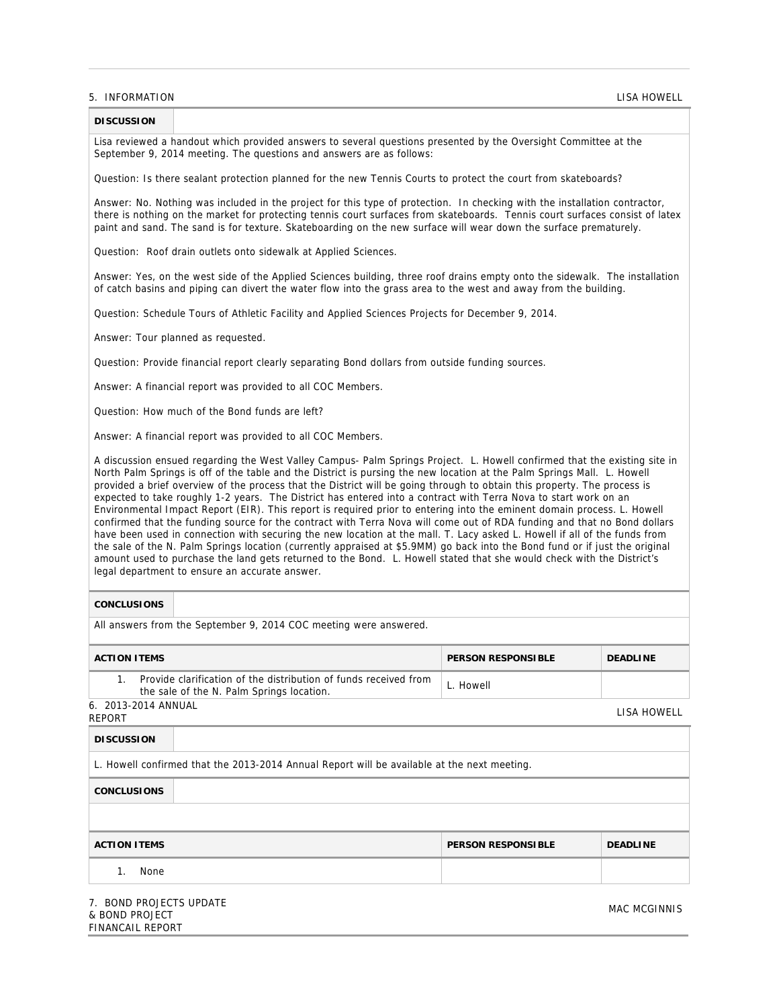### 5. INFORMATION LISA HOWELL

## **DISCUSSION**

Lisa reviewed a handout which provided answers to several questions presented by the Oversight Committee at the September 9, 2014 meeting. The questions and answers are as follows:

Question: Is there sealant protection planned for the new Tennis Courts to protect the court from skateboards?

Answer: No. Nothing was included in the project for this type of protection. In checking with the installation contractor, there is nothing on the market for protecting tennis court surfaces from skateboards. Tennis court surfaces consist of latex paint and sand. The sand is for texture. Skateboarding on the new surface will wear down the surface prematurely.

Question: Roof drain outlets onto sidewalk at Applied Sciences.

Answer: Yes, on the west side of the Applied Sciences building, three roof drains empty onto the sidewalk. The installation of catch basins and piping can divert the water flow into the grass area to the west and away from the building.

Question: Schedule Tours of Athletic Facility and Applied Sciences Projects for December 9, 2014.

Answer: Tour planned as requested.

Question: Provide financial report clearly separating Bond dollars from outside funding sources.

Answer: A financial report was provided to all COC Members.

Question: How much of the Bond funds are left?

Answer: A financial report was provided to all COC Members.

A discussion ensued regarding the West Valley Campus- Palm Springs Project. L. Howell confirmed that the existing site in North Palm Springs is off of the table and the District is pursing the new location at the Palm Springs Mall. L. Howell provided a brief overview of the process that the District will be going through to obtain this property. The process is expected to take roughly 1-2 years. The District has entered into a contract with Terra Nova to start work on an Environmental Impact Report (EIR). This report is required prior to entering into the eminent domain process. L. Howell confirmed that the funding source for the contract with Terra Nova will come out of RDA funding and that no Bond dollars have been used in connection with securing the new location at the mall. T. Lacy asked L. Howell if all of the funds from the sale of the N. Palm Springs location (currently appraised at \$5.9MM) go back into the Bond fund or if just the original amount used to purchase the land gets returned to the Bond. L. Howell stated that she would check with the District's legal department to ensure an accurate answer.

#### **CONCLUSIONS**

All answers from the September 9, 2014 COC meeting were answered.

| <b>ACTION ITEMS</b>                                                                                           | <b>PERSON RESPONSIBLE</b> | <b>DEADLINE</b> |
|---------------------------------------------------------------------------------------------------------------|---------------------------|-----------------|
| Provide clarification of the distribution of funds received from<br>the sale of the N. Palm Springs location. | L. Howell                 |                 |
| 6. 2013-2014 ANNUAL<br>REPORT                                                                                 |                           | LISA HOWELL     |

| <b>DISCUSSION</b>                                                                           |                           |                 |  |
|---------------------------------------------------------------------------------------------|---------------------------|-----------------|--|
| L. Howell confirmed that the 2013-2014 Annual Report will be available at the next meeting. |                           |                 |  |
| <b>CONCLUSIONS</b>                                                                          |                           |                 |  |
|                                                                                             |                           |                 |  |
| <b>ACTION ITEMS</b>                                                                         | <b>PERSON RESPONSIBLE</b> | <b>DEADLINE</b> |  |
| None                                                                                        |                           |                 |  |

7. BOND PROJECTS UPDATE & BOND PROJECT FINANCAIL REPORT

MAC MCGINNIS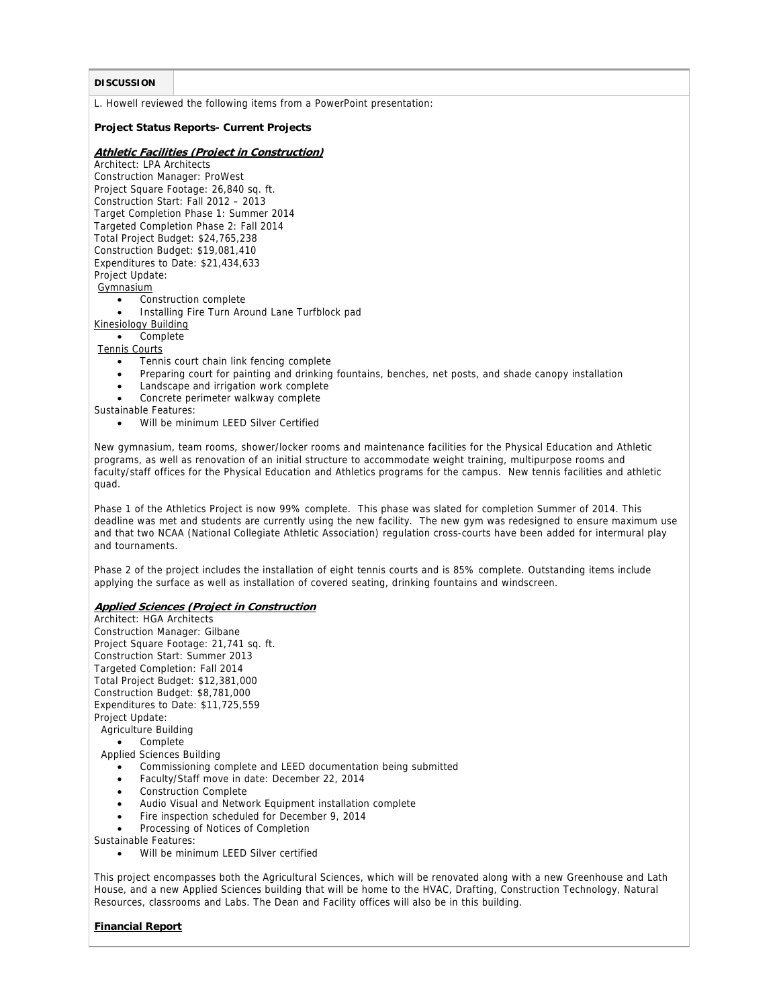### **DISCUSSION**

L. Howell reviewed the following items from a PowerPoint presentation:

### **Project Status Reports- Current Projects**

### **Athletic Facilities (Project in Construction)**

Architect: LPA Architects Construction Manager: ProWest Project Square Footage: 26,840 sq. ft. Construction Start: Fall 2012 – 2013 Target Completion Phase 1: Summer 2014 Targeted Completion Phase 2: Fall 2014 Total Project Budget: \$24,765,238 Construction Budget: \$19,081,410 Expenditures to Date: \$21,434,633 Project Update: **Gymnasium** 

- Construction complete
- Installing Fire Turn Around Lane Turfblock pad

Kinesiology Building

• Complete

- Tennis Courts
	- Tennis court chain link fencing complete
	- Preparing court for painting and drinking fountains, benches, net posts, and shade canopy installation
	- Landscape and irrigation work complete
	- Concrete perimeter walkway complete

Sustainable Features:

Will be minimum LEED Silver Certified

New gymnasium, team rooms, shower/locker rooms and maintenance facilities for the Physical Education and Athletic programs, as well as renovation of an initial structure to accommodate weight training, multipurpose rooms and faculty/staff offices for the Physical Education and Athletics programs for the campus. New tennis facilities and athletic quad.

Phase 1 of the Athletics Project is now 99% complete. This phase was slated for completion Summer of 2014. This deadline was met and students are currently using the new facility. The new gym was redesigned to ensure maximum use and that two NCAA (National Collegiate Athletic Association) regulation cross-courts have been added for intermural play and tournaments.

Phase 2 of the project includes the installation of eight tennis courts and is 85% complete. Outstanding items include applying the surface as well as installation of covered seating, drinking fountains and windscreen.

### **Applied Sciences (Project in Construction**

Architect: HGA Architects Construction Manager: Gilbane Project Square Footage: 21,741 sq. ft. Construction Start: Summer 2013 Targeted Completion: Fall 2014 Total Project Budget: \$12,381,000 Construction Budget: \$8,781,000 Expenditures to Date: \$11,725,559 Project Update: Agriculture Building

### Complete

Applied Sciences Building

- Commissioning complete and LEED documentation being submitted
- Faculty/Staff move in date: December 22, 2014
- Construction Complete
- Audio Visual and Network Equipment installation complete
- Fire inspection scheduled for December 9, 2014
- Processing of Notices of Completion

Sustainable Features:

Will be minimum LEED Silver certified

This project encompasses both the Agricultural Sciences, which will be renovated along with a new Greenhouse and Lath House, and a new Applied Sciences building that will be home to the HVAC, Drafting, Construction Technology, Natural Resources, classrooms and Labs. The Dean and Facility offices will also be in this building.

### **Financial Report**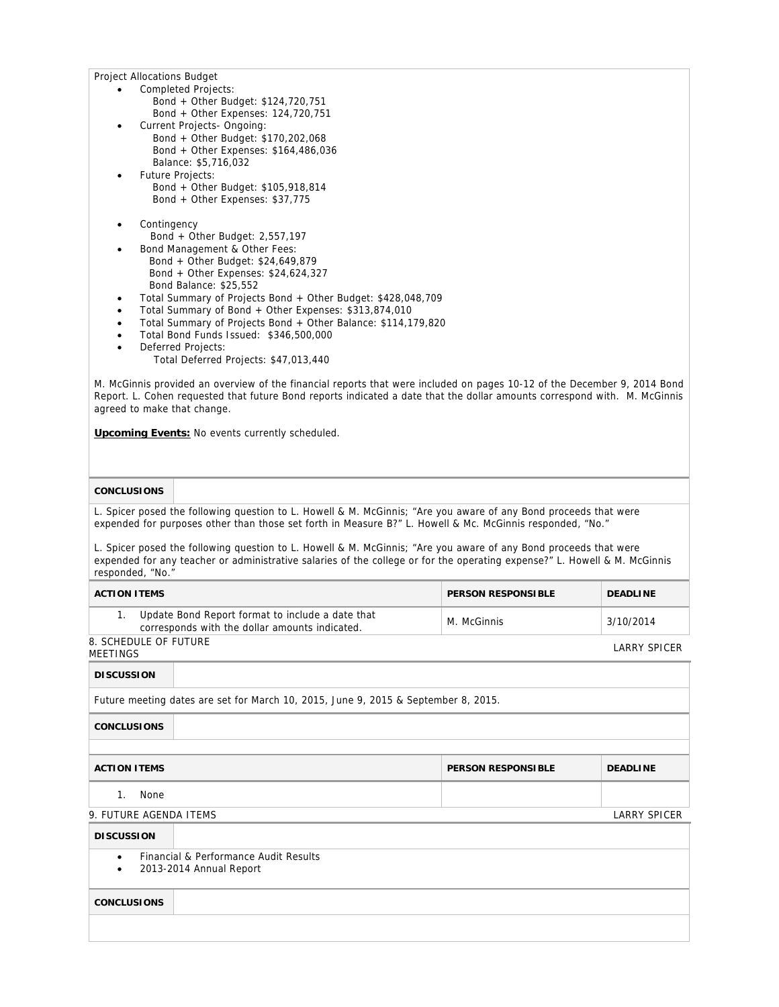Project Allocations Budget

- Completed Projects: Bond + Other Budget: \$124,720,751 Bond + Other Expenses: 124,720,751
- Current Projects- Ongoing: Bond + Other Budget: \$170,202,068 Bond + Other Expenses: \$164,486,036 Balance: \$5,716,032
- Future Projects: Bond + Other Budget: \$105,918,814 Bond + Other Expenses: \$37,775
- Contingency Bond + Other Budget: 2,557,197
- Bond Management & Other Fees: Bond + Other Budget: \$24,649,879 Bond + Other Expenses: \$24,624,327 Bond Balance: \$25,552
- Total Summary of Projects Bond + Other Budget: \$428,048,709
- Total Summary of Bond + Other Expenses: \$313,874,010
- Total Summary of Projects Bond + Other Balance: \$114,179,820
- Total Bond Funds Issued: \$346,500,000
- Deferred Projects:
	- Total Deferred Projects: \$47,013,440

M. McGinnis provided an overview of the financial reports that were included on pages 10-12 of the December 9, 2014 Bond Report. L. Cohen requested that future Bond reports indicated a date that the dollar amounts correspond with. M. McGinnis agreed to make that change.

**Upcoming Events:** No events currently scheduled.

### **CONCLUSIONS**

L. Spicer posed the following question to L. Howell & M. McGinnis; "Are you aware of any Bond proceeds that were expended for purposes other than those set forth in Measure B?" L. Howell & Mc. McGinnis responded, "No."

L. Spicer posed the following question to L. Howell & M. McGinnis; "Are you aware of any Bond proceeds that were expended for any teacher or administrative salaries of the college or for the operating expense?" L. Howell & M. McGinnis responded, "No."

| <b>ACTION ITEMS</b>                                                                                | <b>PERSON RESPONSIBLE</b> | <b>DEADLINE</b> |
|----------------------------------------------------------------------------------------------------|---------------------------|-----------------|
| Update Bond Report format to include a date that<br>corresponds with the dollar amounts indicated. | M. McGinnis               | 3/10/2014       |
| 8. SCHEDULE OF FUTURE<br>MEETINGS                                                                  |                           | LARRY SPICER    |

| <b>DISCUSSION</b>                                                                  |  |  |  |
|------------------------------------------------------------------------------------|--|--|--|
| Future meeting dates are set for March 10, 2015, June 9, 2015 & September 8, 2015. |  |  |  |
| <b>CONCLUSIONS</b>                                                                 |  |  |  |
|                                                                                    |  |  |  |
| <b>ACTION ITEMS</b><br><b>PERSON RESPONSIBLE</b><br><b>DEADLINE</b>                |  |  |  |
| None<br>$1_{-}$                                                                    |  |  |  |
| 9. FUTURE AGENDA ITEMS<br>LARRY SPICER                                             |  |  |  |
| <b>DISCUSSION</b>                                                                  |  |  |  |

- Financial & Performance Audit Results
- 2013-2014 Annual Report

### **CONCLUSIONS**